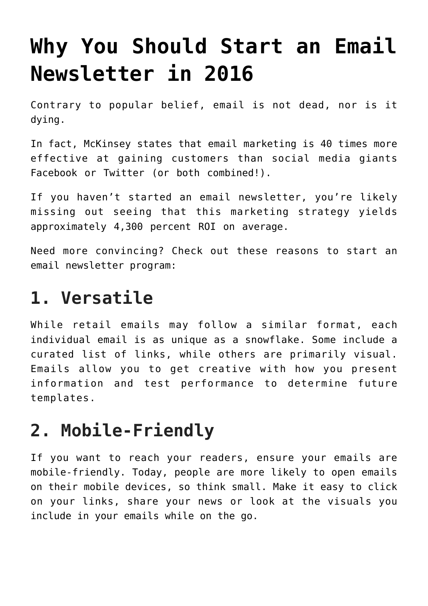# **[Why You Should Start an Email](https://www.commpro.biz/why-you-should-start-an-email-newsletter-in-2016/) [Newsletter in 2016](https://www.commpro.biz/why-you-should-start-an-email-newsletter-in-2016/)**

Contrary to popular belief, [email is not dead,](https://www.cmswire.com/cms/customer-experience/email-marketing-is-dead-long-live-email-marketing-028984.php) nor is it dying.

In fact, [McKinsey](https://www.mckinsey.com/insights/marketing_sales/why_marketers_should_keep_sending_you_emails) states that email marketing is 40 times more effective at gaining customers than social media giants Facebook or Twitter (or both combined!).

If you haven't started an email newsletter, you're likely missing out seeing that this marketing strategy yields approximatel[y 4,300 percent ROI](https://thedma.org/) on average.

Need more convincing? Check out [these reasons](https://www.cision.com/us/2016/01/16-reasons-to-start-an-email-newsletter-in-2016/) to start an email newsletter program:

#### **1. Versatile**

While retail emails may follow a similar format, each individual email is as unique as a snowflake. Some include a curated list of links, while others are primarily [visual.](https://mailbakery.com/blog/25-wonderful-examples-of-animated-gifs-in-email-marketing-templates/) Emails allow you to get creative with how you present information and test performance to determine future templates.

#### **2. Mobile-Friendly**

If you want to reach your readers, ensure your emails are mobile-friendly. Today, people are more likely to [open emails](https://www.toprankblog.com/2015/05/b2c-mobile-email-marketing/) [on their mobile devices,](https://www.toprankblog.com/2015/05/b2c-mobile-email-marketing/) so think small. Make it easy to click on your links, share your news or look at the visuals you include in your emails while on the go.